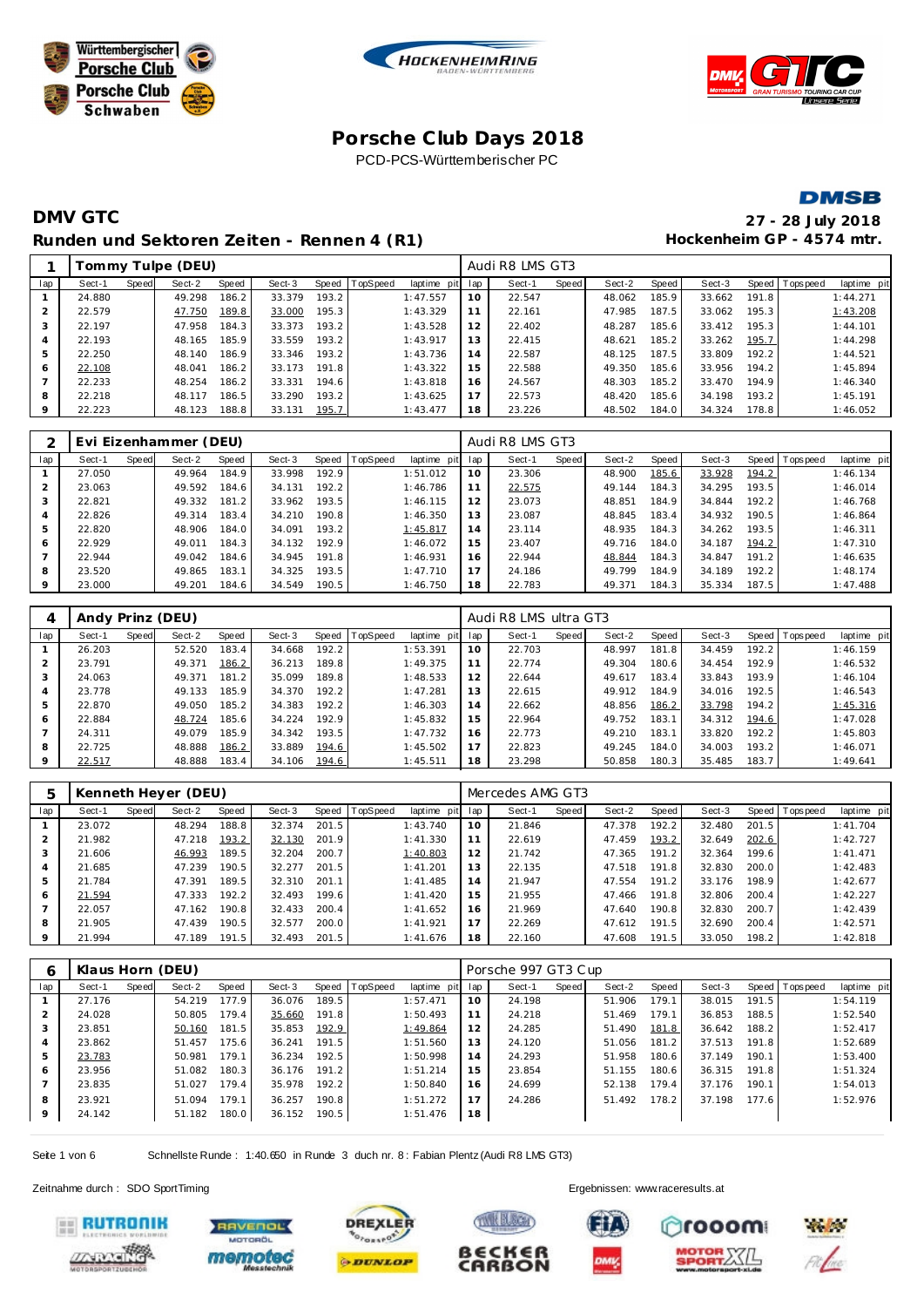







# **DMV GTC 27 - 28 July 2018** Runden und Sektoren Zeiten - Rennen 4 (R1) **Hockenheim GP** - 4574 mtr.

|         |        |       | Tommy Tulpe (DEU) |       |        |       |                |             |     | Audi R8 LMS GT3 |       |        |       |        |       |                   |             |
|---------|--------|-------|-------------------|-------|--------|-------|----------------|-------------|-----|-----------------|-------|--------|-------|--------|-------|-------------------|-------------|
| lap     | Sect-1 | Speed | Sect-2            | Speed | Sect-3 |       | Speed TopSpeed | laptime pit | lap | Sect-1          | Speed | Sect-2 | Speed | Sect-3 |       | Speed   Tops peed | laptime pit |
|         | 24.880 |       | 49.298            | 186.2 | 33.379 | 193.2 |                | 1:47.557    | 10  | 22.547          |       | 48.062 | 185.9 | 33.662 | 191.8 |                   | 1:44.271    |
|         | 22.579 |       | 47.750            | 189.8 | 33.000 | 195.3 |                | 1:43.329    | 11  | 22.161          |       | 47.985 | 187.5 | 33.062 | 195.3 |                   | 1:43.208    |
|         | 22.197 |       | 47.958            | 184.3 | 33.373 | 193.2 |                | 1:43.528    | 12  | 22.402          |       | 48.287 | 185.6 | 33.412 | 195.3 |                   | 1:44.101    |
|         | 22.193 |       | 48.165            | 185.9 | 33.559 | 193.2 |                | 1:43.917    | 13  | 22.415          |       | 48.621 | 185.2 | 33.262 | 195.7 |                   | 1:44.298    |
| 5       | 22.250 |       | 48.140            | 186.9 | 33.346 | 193.2 |                | 1:43.736    | 14  | 22.587          |       | 48.125 | 187.5 | 33.809 | 192.2 |                   | 1:44.521    |
| 6       | 22.108 |       | 48.041            | 186.2 | 33.173 | 191.8 |                | 1:43.322    | 15  | 22.588          |       | 49.350 | 185.6 | 33.956 | 194.2 |                   | 1:45.894    |
|         | 22.233 |       | 48.254            | 186.2 | 33.331 | 194.6 |                | 1:43.818    | 16  | 24.567          |       | 48.303 | 185.2 | 33.470 | 194.9 |                   | 1:46.340    |
| 8       | 22.218 |       | 48.117            | 186.5 | 33.290 | 193.2 |                | 1:43.625    | 17  | 22.573          |       | 48.420 | 185.6 | 34.198 | 193.2 |                   | 1:45.191    |
| $\circ$ | 22.223 |       | 48.123            | 188.8 | 33.131 | 195.7 |                | 1:43.477    | 18  | 23.226          |       | 48.502 | 184.0 | 34.324 | 178.8 |                   | 1:46.052    |
|         |        |       |                   |       |        |       |                |             |     |                 |       |        |       |        |       |                   |             |

|                |        |       | Evi Eizenhammer (DEU) |       |        |       |                  |             |     | Audi R8 LMS GT3 |       |        |       |        |       |                 |             |
|----------------|--------|-------|-----------------------|-------|--------|-------|------------------|-------------|-----|-----------------|-------|--------|-------|--------|-------|-----------------|-------------|
| lap            | Sect-1 | Speed | Sect-2                | Speed | Sect-3 |       | Speed   TopSpeed | laptime pit | lap | Sect-1          | Speed | Sect-2 | Speed | Sect-3 |       | Speed Tops peed | laptime pit |
|                | 27.050 |       | 49.964                | 184.9 | 33.998 | 192.9 |                  | 1:51.012    | 10  | 23.306          |       | 48.900 | 185.6 | 33.928 | 194.2 |                 | 1:46.134    |
|                | 23.063 |       | 49.592                | 184.6 | 34.131 | 192.2 |                  | 1:46.786    | 11  | 22.575          |       | 49.144 | 184.3 | 34.295 | 193.5 |                 | 1:46.014    |
| 3              | 22.821 |       | 49.332                | 181.2 | 33.962 | 193.5 |                  | 1:46.115    | 12  | 23.073          |       | 48.851 | 184.9 | 34.844 | 192.2 |                 | 1:46.768    |
| $\overline{A}$ | 22.826 |       | 49.314                | 183.4 | 34.210 | 190.8 |                  | 1:46.350    | 13  | 23.087          |       | 48.845 | 183.4 | 34.932 | 190.5 |                 | 1:46.864    |
| 5              | 22.820 |       | 48.906                | 184.0 | 34.091 | 193.2 |                  | 1:45.817    | 14  | 23.114          |       | 48.935 | 184.3 | 34.262 | 193.5 |                 | 1:46.311    |
| 6              | 22.929 |       | 49.011                | 184.3 | 34.132 | 192.9 |                  | 1:46.072    | 15  | 23.407          |       | 49.716 | 184.0 | 34.187 | 194.2 |                 | 1:47.310    |
|                | 22.944 |       | 49.042                | 184.6 | 34.945 | 191.8 |                  | 1:46.931    | 16  | 22.944          |       | 48.844 | 184.3 | 34.847 | 191.2 |                 | 1:46.635    |
| 8              | 23.520 |       | 49.865                | 183.1 | 34.325 | 193.5 |                  | 1:47.710    | 17  | 24.186          |       | 49.799 | 184.9 | 34.189 | 192.2 |                 | 1:48.174    |
| 9              | 23.000 |       | 49.201                | 184.6 | 34.549 | 190.5 |                  | 1:46.750    | 18  | 22.783          |       | 49.371 | 184.3 | 35.334 | 187.5 |                 | 1:47.488    |

| 4              | Andy Prinz (DEU) |       |        |       |        |       |          |             |     | Audi R8 LMS ultra GT3 |       |        |       |        |       |                |             |
|----------------|------------------|-------|--------|-------|--------|-------|----------|-------------|-----|-----------------------|-------|--------|-------|--------|-------|----------------|-------------|
| lap            | Sect-1           | Speed | Sect-2 | Speed | Sect-3 | Speed | TopSpeed | laptime pit | lap | Sect-1                | Speed | Sect-2 | Speed | Sect-3 |       | Speed Topspeed | laptime pit |
|                | 26.203           |       | 52.520 | 183.4 | 34.668 | 192.2 |          | 1:53.391    | 10  | 22.703                |       | 48.997 | 181.8 | 34.459 | 192.2 |                | 1:46.159    |
|                | 23.791           |       | 49.371 | 186.2 | 36.213 | 189.8 |          | 1:49.375    | 11  | 22.774                |       | 49.304 | 180.6 | 34.454 | 192.9 |                | 1:46.532    |
| 3              | 24.063           |       | 49.371 | 181.2 | 35.099 | 189.8 |          | 1:48.533    | 12  | 22.644                |       | 49.617 | 183.4 | 33.843 | 193.9 |                | 1:46.104    |
| $\overline{4}$ | 23.778           |       | 49.133 | 185.9 | 34.370 | 192.2 |          | 1:47.281    | 13  | 22.615                |       | 49.912 | 184.9 | 34.016 | 192.5 |                | 1:46.543    |
| 5              | 22.870           |       | 49.050 | 185.2 | 34.383 | 192.2 |          | 1:46.303    | 14  | 22.662                |       | 48.856 | 186.2 | 33.798 | 194.2 |                | 1:45.316    |
| 6              | 22.884           |       | 48.724 | 185.6 | 34.224 | 192.9 |          | 1:45.832    | 15  | 22.964                |       | 49.752 | 183.1 | 34.312 | 194.6 |                | 1:47.028    |
|                | 24.311           |       | 49.079 | 185.9 | 34.342 | 193.5 |          | 1:47.732    | 16  | 22.773                |       | 49.210 | 183.1 | 33.820 | 192.2 |                | 1:45.803    |
| 8              | 22.725           |       | 48.888 | 186.2 | 33.889 | 194.6 |          | 1:45.502    | 17  | 22.823                |       | 49.245 | 184.0 | 34.003 | 193.2 |                | 1:46.071    |
| 9              | 22.517           |       | 48.888 | 183.4 | 34.106 | 194.6 |          | 1:45.511    | 18  | 23.298                |       | 50.858 | 180.3 | 35.485 | 183.7 |                | 1:49.641    |

| h   |        |       | Kenneth Heyer (DEU) |       |        |       |          |             |     | Mercedes AMG GT3 |       |        |       |        |       |                |             |
|-----|--------|-------|---------------------|-------|--------|-------|----------|-------------|-----|------------------|-------|--------|-------|--------|-------|----------------|-------------|
| lap | Sect-1 | Speed | Sect-2              | Speed | Sect-3 | Speed | TopSpeed | laptime pit | lap | Sect-1           | Speed | Sect-2 | Speed | Sect-3 |       | Speed Topspeed | laptime pit |
|     | 23.072 |       | 48.294              | 188.8 | 32.374 | 201.5 |          | 1:43.740    | 10  | 21.846           |       | 47.378 | 192.2 | 32.480 | 201.5 |                | 1:41.704    |
|     | 21.982 |       | 47.218              | 193.2 | 32.130 | 201.9 |          | 1:41.330    | 11  | 22.619           |       | 47.459 | 193.2 | 32.649 | 202.6 |                | 1:42.727    |
| 3   | 21.606 |       | 46.993              | 189.5 | 32.204 | 200.7 |          | 1:40.803    | 12  | 21.742           |       | 47.365 | 191.2 | 32.364 | 199.6 |                | 1: 41.471   |
| 4   | 21.685 |       | 47.239              | 190.5 | 32.277 | 201.5 |          | 1: 41.201   | 13  | 22.135           |       | 47.518 | 191.8 | 32.830 | 200.0 |                | 1:42.483    |
| 5   | 21.784 |       | 47.391              | 189.5 | 32.310 | 201.1 |          | 1:41.485    | 14  | 21.947           |       | 47.554 | 191.2 | 33.176 | 198.9 |                | 1:42.677    |
| 6   | 21.594 |       | 47.333              | 192.2 | 32.493 | 199.6 |          | 1:41.420    | 15  | 21.955           |       | 47.466 | 191.8 | 32.806 | 200.4 |                | 1:42.227    |
|     | 22.057 |       | 47.162              | 190.8 | 32.433 | 200.4 |          | 1:41.652    | 16  | 21.969           |       | 47.640 | 190.8 | 32.830 | 200.7 |                | 1:42.439    |
| 8   | 21.905 |       | 47.439              | 190.5 | 32.577 | 200.0 |          | 1:41.921    | 17  | 22.269           |       | 47.612 | 191.5 | 32.690 | 200.4 |                | 1:42.571    |
| 9   | 21.994 |       | 47.189              | 191.5 | 32.493 | 201.5 |          | 1:41.676    | 18  | 22.160           |       | 47.608 | 191.5 | 33.050 | 198.2 |                | 1:42.818    |

| 6              |        |       | Klaus Horn (DEU) |       |        |       |          |             |     | Porsche 997 GT3 Cup |       |        |       |        |                    |                |             |
|----------------|--------|-------|------------------|-------|--------|-------|----------|-------------|-----|---------------------|-------|--------|-------|--------|--------------------|----------------|-------------|
| lap            | Sect-1 | Speed | Sect-2           | Speed | Sect-3 | Speed | TopSpeed | laptime pit | lap | Sect-1              | Speed | Sect-2 | Speed | Sect-3 |                    | Speed Topspeed | laptime pit |
|                | 27.176 |       | 54.219           | 177.9 | 36.076 | 189.5 |          | 1:57.471    | 10  | 24.198              |       | 51.906 | 179.1 | 38.015 | 191.5 <sub>1</sub> |                | 1:54.119    |
| $\overline{2}$ | 24.028 |       | 50.805           | 179.4 | 35.660 | 191.8 |          | 1:50.493    | 11  | 24.218              |       | 51.469 | 179.1 | 36.853 | 188.5              |                | 1:52.540    |
| 3              | 23.851 |       | 50.160           | 181.5 | 35.853 | 192.9 |          | 1:49.864    | 12  | 24.285              |       | 51.490 | 181.8 | 36.642 | 188.2              |                | 1:52.417    |
| $\overline{4}$ | 23.862 |       | 51.457           | 175.6 | 36.241 | 191.5 |          | 1:51.560    | 13  | 24.120              |       | 51.056 | 181.2 | 37.513 | 191.8              |                | 1:52.689    |
| 5              | 23.783 |       | 50.981           | 179.1 | 36.234 | 192.5 |          | 1:50.998    | 14  | 24.293              |       | 51.958 | 180.6 | 37.149 | 190.1              |                | 1:53.400    |
| 6              | 23.956 |       | 51.082           | 180.3 | 36.176 | 191.2 |          | 1:51.214    | 15  | 23.854              |       | 51.155 | 180.6 | 36.315 | 191.8              |                | 1:51.324    |
|                | 23.835 |       | 51.027           | 179.4 | 35.978 | 192.2 |          | 1:50.840    | 16  | 24.699              |       | 52.138 | 179.4 | 37.176 | 190.1              |                | 1:54.013    |
| 8              | 23.921 |       | 51.094           | 179.1 | 36.257 | 190.8 |          | 1:51.272    | 17  | 24.286              |       | 51.492 | 178.2 | 37.198 | 177.6              |                | 1:52.976    |
| 9              | 24.142 |       | 51.182           | 180.0 | 36.152 | 190.5 |          | 1:51.476    | 18  |                     |       |        |       |        |                    |                |             |

Seite 1 von 6 Schnellste Runde : 1:40.650 in Runde 3 duch nr. 8 : Fabian Plentz (Audi R8 LMS GT3)

Zeitnahme durch : SDO SportTiming Ergebnissen: [www.raceresults.a](www.raceresults.at)t













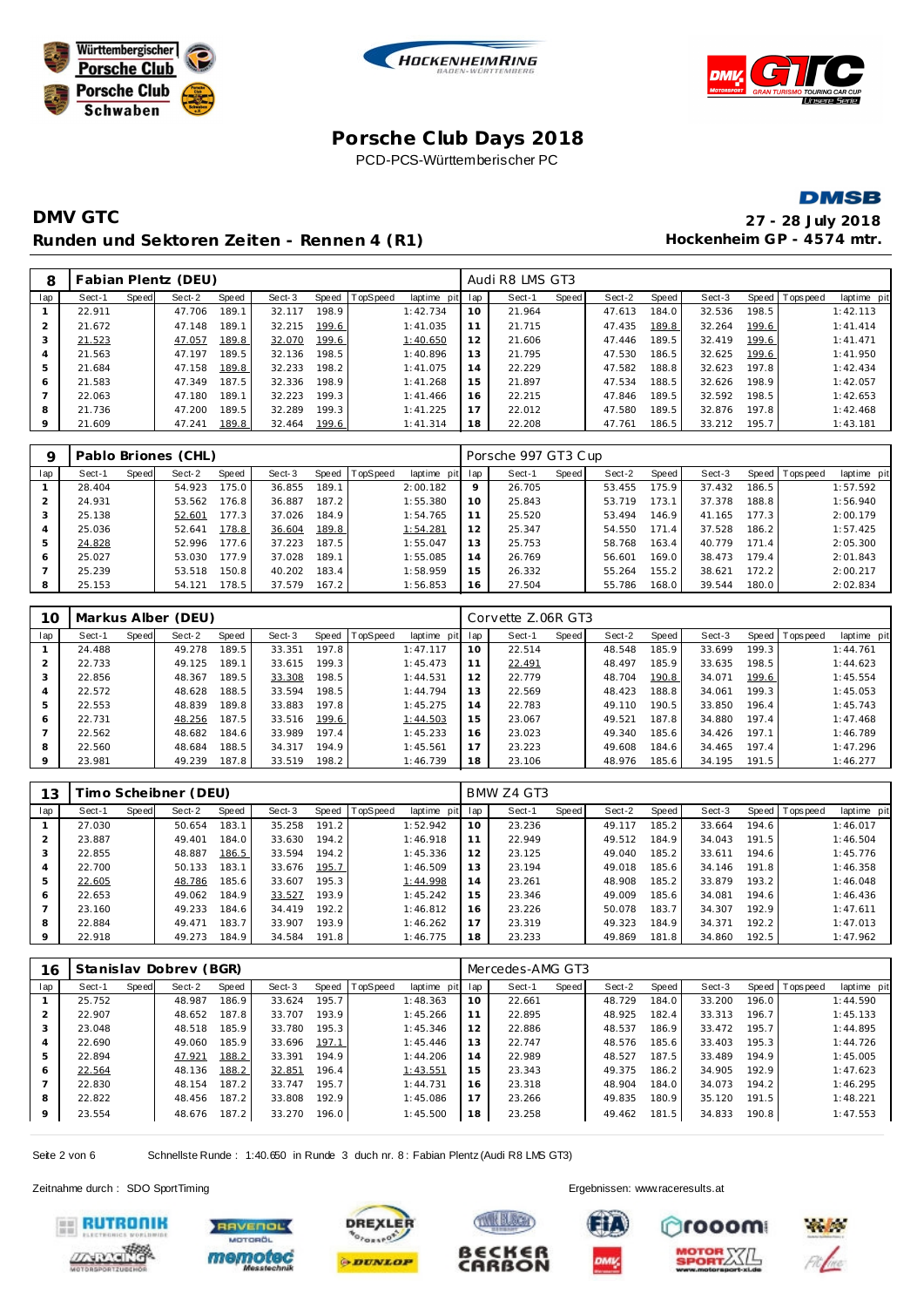







# **DMV GTC 27 - 28 July 2018** Runden und Sektoren Zeiten - Rennen 4 (R1) **Hockenheim GP** - 4574 mtr.

| 8              |        |       | Fabian Plentz (DEU) |       |        |       |          |             |     | Audi R8 LMS GT3 |       |        |       |        |       |                |             |
|----------------|--------|-------|---------------------|-------|--------|-------|----------|-------------|-----|-----------------|-------|--------|-------|--------|-------|----------------|-------------|
| lap            | Sect-1 | Speed | Sect-2              | Speed | Sect-3 | Speed | TopSpeed | laptime pit | lap | Sect-1          | Speed | Sect-2 | Speed | Sect-3 |       | Speed Topspeed | laptime pit |
|                | 22.911 |       | 47.706              | 189.1 | 32.117 | 198.9 |          | 1:42.734    | 10  | 21.964          |       | 47.613 | 184.0 | 32.536 | 198.5 |                | 1:42.113    |
| $\overline{2}$ | 21.672 |       | 47.148              | 189.1 | 32.215 | 199.6 |          | 1:41.035    | 11  | 21.715          |       | 47.435 | 189.8 | 32.264 | 199.6 |                | 1: 41.414   |
| 3              | 21.523 |       | 47.057              | 189.8 | 32.070 | 199.6 |          | 1:40.650    | 12  | 21.606          |       | 47.446 | 189.5 | 32.419 | 199.6 |                | 1: 41.471   |
| 4              | 21.563 |       | 47.197              | 189.5 | 32.136 | 198.5 |          | 1:40.896    | 13  | 21.795          |       | 47.530 | 186.5 | 32.625 | 199.6 |                | 1:41.950    |
| 5              | 21.684 |       | 47.158              | 189.8 | 32.233 | 198.2 |          | 1:41.075    | 14  | 22.229          |       | 47.582 | 188.8 | 32.623 | 197.8 |                | 1:42.434    |
| 6              | 21.583 |       | 47.349              | 187.5 | 32.336 | 198.9 |          | 1:41.268    | 15  | 21.897          |       | 47.534 | 188.5 | 32.626 | 198.9 |                | 1:42.057    |
|                | 22.063 |       | 47.180              | 189.1 | 32.223 | 199.3 |          | 1:41.466    | 16  | 22.215          |       | 47.846 | 189.5 | 32.592 | 198.5 |                | 1:42.653    |
| 8              | 21.736 |       | 47.200              | 189.5 | 32.289 | 199.3 |          | 1:41.225    | 17  | 22.012          |       | 47.580 | 189.5 | 32.876 | 197.8 |                | 1:42.468    |
| 9              | 21.609 |       | 47.241              | 189.8 | 32.464 | 199.6 |          | 1:41.314    | 18  | 22.208          |       | 47.761 | 186.5 | 33.212 | 195.7 |                | 1:43.181    |

|     |        |       | Pablo Briones (CHL) |       |        |       |          |             |     | Porsche 997 GT3 Cup |       |        |       |        |       |                 |             |
|-----|--------|-------|---------------------|-------|--------|-------|----------|-------------|-----|---------------------|-------|--------|-------|--------|-------|-----------------|-------------|
| lap | Sect-1 | Speed | Sect-2              | Speed | Sect-3 | Speed | TopSpeed | laptime pit | lap | Sect-1              | Speed | Sect-2 | Speed | Sect-3 |       | Speed Tops peed | laptime pit |
|     | 28.404 |       | 54.923              | 175.0 | 36.855 | 189.1 |          | 2:00.182    | 9   | 26.705              |       | 53.455 | 175.9 | 37.432 | 186.5 |                 | 1:57.592    |
|     | 24.931 |       | 53.562              | 176.8 | 36.887 | 187.2 |          | 1:55.380    | 10  | 25.843              |       | 53.719 | 173.1 | 37.378 | 188.8 |                 | 1:56.940    |
| 3   | 25.138 |       | 52.601              | 177.3 | 37.026 | 184.9 |          | 1:54.765    | 11  | 25.520              |       | 53.494 | 146.9 | 41.165 | 177.3 |                 | 2:00.179    |
| 4   | 25.036 |       | 52.641              | 178.8 | 36.604 | 189.8 |          | 1:54.281    | 12  | 25.347              |       | 54.550 | 171   | 37.528 | 186.2 |                 | 1:57.425    |
| 5   | 24.828 |       | 52.996              | 177.6 | 37.223 | 187.5 |          | 1:55.047    | 13  | 25.753              |       | 58.768 | 163.4 | 40.779 | 171.4 |                 | 2:05.300    |
| 6   | 25.027 |       | 53.030              | 177.9 | 37.028 | 189.1 |          | 1:55.085    | 14  | 26.769              |       | 56.601 | 169.0 | 38.473 | 179.4 |                 | 2:01.843    |
|     | 25.239 |       | 53.518              | 150.8 | 40.202 | 183.4 |          | 1:58.959    | 15  | 26.332              |       | 55.264 | 155.2 | 38.621 | 172.2 |                 | 2:00.217    |
| 8   | 25.153 |       | 54.121              | 178.5 | 37.579 | 167.2 |          | 1:56.853    | 16  | 27.504              |       | 55.786 | 168.0 | 39.544 | 180.0 |                 | 2:02.834    |

| 10  |        |       | Markus Alber (DEU) |       |        |       |                 |             |     | Corvette Z.06R GT3 |       |        |       |        |       |                |             |
|-----|--------|-------|--------------------|-------|--------|-------|-----------------|-------------|-----|--------------------|-------|--------|-------|--------|-------|----------------|-------------|
| lap | Sect-1 | Speed | Sect-2             | Speed | Sect-3 | Speed | <b>TopSpeed</b> | laptime pit | lap | Sect-1             | Speed | Sect-2 | Speed | Sect-3 |       | Speed Topspeed | laptime pit |
|     | 24.488 |       | 49.278             | 189.5 | 33.351 | 197.8 |                 | 1:47.117    | 10  | 22.514             |       | 48.548 | 185.9 | 33.699 | 199.3 |                | 1:44.761    |
| 2   | 22.733 |       | 49.125             | 189.1 | 33.615 | 199.3 |                 | 1:45.473    |     | 22.491             |       | 48.497 | 185.9 | 33.635 | 198.5 |                | 1:44.623    |
| 3   | 22.856 |       | 48.367             | 189.5 | 33.308 | 198.5 |                 | 1:44.531    | 12  | 22.779             |       | 48.704 | 190.8 | 34.071 | 199.6 |                | 1:45.554    |
| 4   | 22.572 |       | 48.628             | 188.5 | 33.594 | 198.5 |                 | 1:44.794    | 13  | 22.569             |       | 48.423 | 188.8 | 34.061 | 199.3 |                | 1:45.053    |
| 5   | 22.553 |       | 48.839             | 189.8 | 33.883 | 197.8 |                 | 1:45.275    | 14  | 22.783             |       | 49.110 | 190.5 | 33.850 | 196.4 |                | 1:45.743    |
| 6   | 22.731 |       | 48.256             | 187.5 | 33.516 | 199.6 |                 | 1:44.503    | 15  | 23.067             |       | 49.521 | 187.8 | 34.880 | 197.4 |                | 1:47.468    |
|     | 22.562 |       | 48.682             | 184.6 | 33.989 | 197.4 |                 | 1:45.233    | 16  | 23.023             |       | 49.340 | 185.6 | 34.426 | 197.1 |                | 1:46.789    |
| 8   | 22.560 |       | 48.684             | 188.5 | 34.317 | 194.9 |                 | 1:45.561    | 17  | 23.223             |       | 49.608 | 184.6 | 34.465 | 197.4 |                | 1:47.296    |
| 9   | 23.981 |       | 49.239             | 187.8 | 33.519 | 198.2 |                 | 1:46.739    | 18  | 23.106             |       | 48.976 | 185.6 | 34.195 | 191.5 |                | 1:46.277    |

| 13             |        |       | imo Scheibner (DEU) |       |        |       |          |             |     | BMW Z4 GT3 |       |        |       |        |       |                |             |
|----------------|--------|-------|---------------------|-------|--------|-------|----------|-------------|-----|------------|-------|--------|-------|--------|-------|----------------|-------------|
| lap            | Sect-1 | Speed | Sect-2              | Speed | Sect-3 | Speed | TopSpeed | laptime pit | lap | Sect-1     | Speed | Sect-2 | Speed | Sect-3 |       | Speed Topspeed | laptime pit |
|                | 27.030 |       | 50.654              | 183.1 | 35.258 | 191.2 |          | 1:52.942    | 10  | 23.236     |       | 49.117 | 185.2 | 33.664 | 194.6 |                | 1:46.017    |
| $\overline{2}$ | 23.887 |       | 49.401              | 184.0 | 33.630 | 194.2 |          | 1:46.918    | 11  | 22.949     |       | 49.512 | 184.9 | 34.043 | 191.5 |                | 1:46.504    |
| 3              | 22.855 |       | 48.887              | 186.5 | 33.594 | 194.2 |          | 1:45.336    | 12  | 23.125     |       | 49.040 | 185.2 | 33.611 | 194.6 |                | 1:45.776    |
| $\overline{4}$ | 22.700 |       | 50.133              | 183.1 | 33.676 | 195.7 |          | 1:46.509    | 13  | 23.194     |       | 49.018 | 185.6 | 34.146 | 191.8 |                | 1:46.358    |
| 5              | 22.605 |       | 48.786              | 185.6 | 33.607 | 195.3 |          | 1:44.998    | 14  | 23.261     |       | 48.908 | 185.2 | 33.879 | 193.2 |                | 1:46.048    |
| 6              | 22.653 |       | 49.062              | 184.9 | 33.527 | 193.9 |          | 1:45.242    | 15  | 23.346     |       | 49.009 | 185.6 | 34.081 | 194.6 |                | 1:46.436    |
|                | 23.160 |       | 49.233              | 184.6 | 34.419 | 192.2 |          | 1:46.812    | 16  | 23.226     |       | 50.078 | 183.7 | 34.307 | 192.9 |                | 1:47.611    |
| 8              | 22.884 |       | 49.471              | 183.7 | 33.907 | 193.9 |          | 1:46.262    | 17  | 23.319     |       | 49.323 | 184.9 | 34.371 | 192.2 |                | 1:47.013    |
| 9              | 22.918 |       | 49.273              | 184.9 | 34.584 | 191.8 |          | 1:46.775    | 18  | 23.233     |       | 49.869 | 181.8 | 34.860 | 192.5 |                | 1:47.962    |

| 16             |        |       | Stanislav Dobrev (BGR) |       |        |       |                 |             |     | Mercedes-AMG GT3 |       |        |       |        |       |                |             |
|----------------|--------|-------|------------------------|-------|--------|-------|-----------------|-------------|-----|------------------|-------|--------|-------|--------|-------|----------------|-------------|
| lap            | Sect-1 | Speed | Sect-2                 | Speed | Sect-3 | Speed | <b>TopSpeed</b> | laptime pit | lap | Sect-1           | Speed | Sect-2 | Speed | Sect-3 |       | Speed Topspeed | laptime pit |
|                | 25.752 |       | 48.987                 | 186.9 | 33.624 | 195.7 |                 | 1:48.363    | 10  | 22.661           |       | 48.729 | 184.0 | 33.200 | 196.0 |                | 1:44.590    |
| $\overline{2}$ | 22.907 |       | 48.652                 | 187.8 | 33.707 | 193.9 |                 | 1:45.266    | 11  | 22.895           |       | 48.925 | 182.4 | 33.313 | 196.7 |                | 1:45.133    |
| 3              | 23.048 |       | 48.518                 | 185.9 | 33.780 | 195.3 |                 | 1:45.346    | 12  | 22.886           |       | 48.537 | 186.9 | 33.472 | 195.7 |                | 1:44.895    |
| $\overline{A}$ | 22.690 |       | 49.060                 | 185.9 | 33.696 | 197.1 |                 | 1:45.446    | 13  | 22.747           |       | 48.576 | 185.6 | 33.403 | 195.3 |                | 1:44.726    |
| 5              | 22.894 |       | 47.921                 | 188.2 | 33.391 | 194.9 |                 | 1:44.206    | 14  | 22.989           |       | 48.527 | 187.5 | 33.489 | 194.9 |                | 1:45.005    |
| 6              | 22.564 |       | 48.136                 | 188.2 | 32.851 | 196.4 |                 | 1:43.551    | 15  | 23.343           |       | 49.375 | 186.2 | 34.905 | 192.9 |                | 1:47.623    |
|                | 22.830 |       | 48.154                 | 187.2 | 33.747 | 195.7 |                 | 1:44.731    | 16  | 23.318           |       | 48.904 | 184.0 | 34.073 | 194.2 |                | 1:46.295    |
| 8              | 22.822 |       | 48.456                 | 187.2 | 33.808 | 192.9 |                 | 1:45.086    | 17  | 23.266           |       | 49.835 | 180.9 | 35.120 | 191.5 |                | 1:48.221    |
| 9              | 23.554 |       | 48.676                 | 187.2 | 33.270 | 196.0 |                 | 1:45.500    | 18  | 23.258           |       | 49.462 | 181.5 | 34.833 | 190.8 |                | 1:47.553    |

Seite 2 von 6 Schnellste Runde : 1:40.650 in Runde 3 duch nr. 8 : Fabian Plentz (Audi R8 LMS GT3)

Zeitnahme durch : SDO SportTiming Ergebnissen: [www.raceresults.a](www.raceresults.at)t













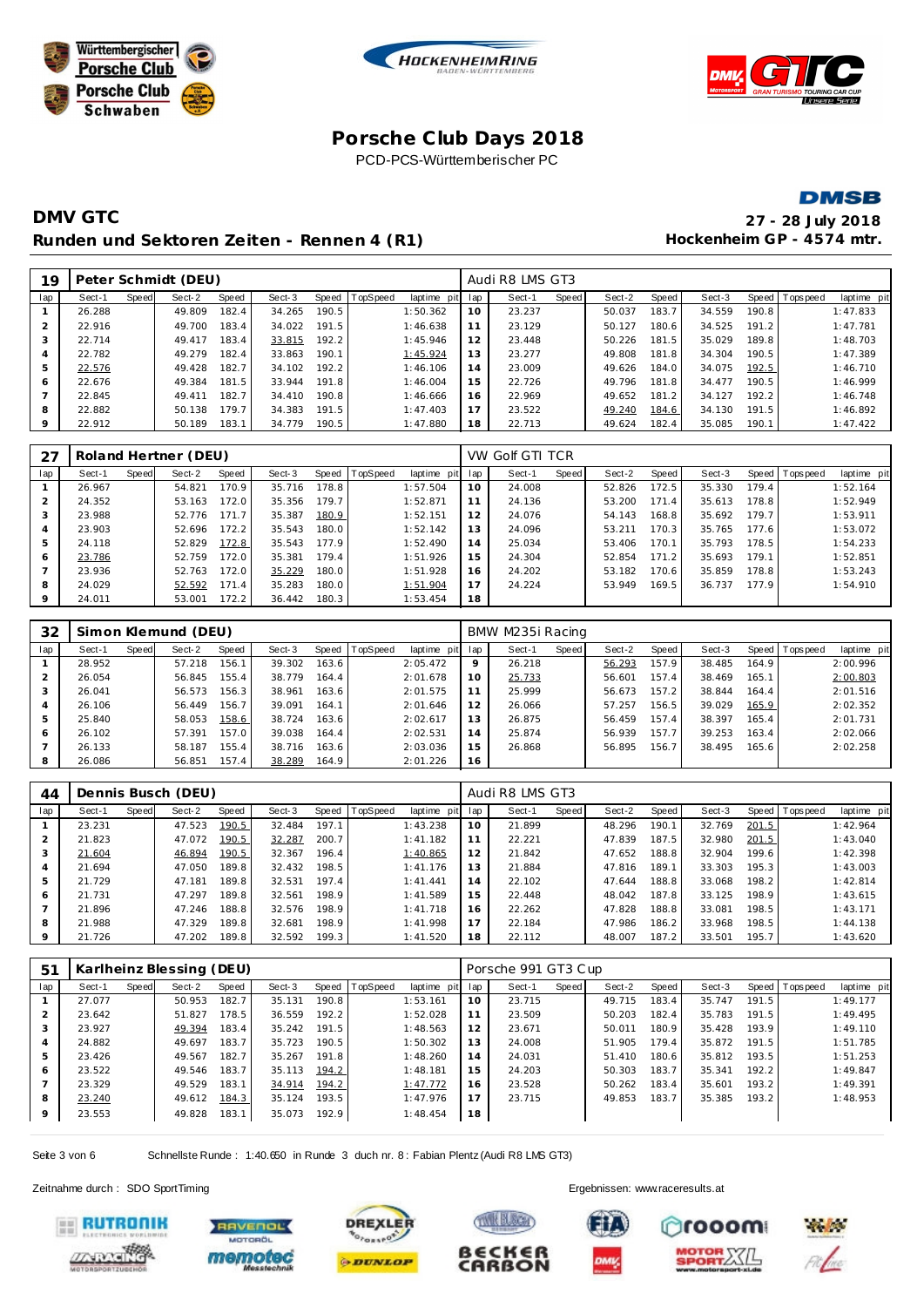







# **DMV GTC 27 - 28 July 2018** Runden und Sektoren Zeiten - Rennen 4 (R1) **Hockenheim GP** - 4574 mtr.

| 19             |        |       | Peter Schmidt (DEU) |       |        |       |          |             |     | Audi R8 LMS GT3 |       |        |       |        |       |                |             |
|----------------|--------|-------|---------------------|-------|--------|-------|----------|-------------|-----|-----------------|-------|--------|-------|--------|-------|----------------|-------------|
| lap            | Sect-1 | Speed | Sect-2              | Speed | Sect-3 | Speed | TopSpeed | laptime pit | lap | Sect-1          | Speed | Sect-2 | Speed | Sect-3 |       | Speed Topspeed | laptime pit |
|                | 26.288 |       | 49.809              | 182.4 | 34.265 | 190.5 |          | 1:50.362    | 10  | 23.237          |       | 50.037 | 183.7 | 34.559 | 190.8 |                | 1:47.833    |
| $\overline{2}$ | 22.916 |       | 49.700              | 183.4 | 34.022 | 191.5 |          | 1:46.638    | 11  | 23.129          |       | 50.127 | 180.6 | 34.525 | 191.2 |                | 1:47.781    |
| 3              | 22.714 |       | 49.417              | 183.4 | 33.815 | 192.2 |          | 1:45.946    | 12  | 23.448          |       | 50.226 | 181.5 | 35.029 | 189.8 |                | 1:48.703    |
| $\overline{4}$ | 22.782 |       | 49.279              | 182.4 | 33.863 | 190.1 |          | 1:45.924    | 13  | 23.277          |       | 49.808 | 181.8 | 34.304 | 190.5 |                | 1:47.389    |
| 5              | 22.576 |       | 49.428              | 182.7 | 34.102 | 192.2 |          | 1:46.106    | 14  | 23.009          |       | 49.626 | 184.0 | 34.075 | 192.5 |                | 1:46.710    |
| 6              | 22.676 |       | 49.384              | 181.5 | 33.944 | 191.8 |          | 1:46.004    | 15  | 22.726          |       | 49.796 | 181.8 | 34.477 | 190.5 |                | 1:46.999    |
|                | 22.845 |       | 49.411              | 182.7 | 34.410 | 190.8 |          | 1:46.666    | 16  | 22.969          |       | 49.652 | 181.2 | 34.127 | 192.2 |                | 1:46.748    |
| 8              | 22.882 |       | 50.138              | 179.7 | 34.383 | 191.5 |          | 1:47.403    | 17  | 23.522          |       | 49.240 | 184.6 | 34.130 | 191.5 |                | 1:46.892    |
| 9              | 22.912 |       | 50.189              | 183.1 | 34.779 | 190.5 |          | 1:47.880    | 18  | 22.713          |       | 49.624 | 182.4 | 35.085 | 190.1 |                | 1:47.422    |

| 27      |        |       | Roland Hertner (DEU) |       |        |       |                |             |     | VW Golf GTI TCR |       |        |       |        |         |                |             |
|---------|--------|-------|----------------------|-------|--------|-------|----------------|-------------|-----|-----------------|-------|--------|-------|--------|---------|----------------|-------------|
| lap     | Sect-1 | Speed | Sect-2               | Speed | Sect-3 |       | Speed TopSpeed | laptime pit | lap | Sect-1          | Speed | Sect-2 | Speed | Sect-3 |         | Speed Topspeed | laptime pit |
|         | 26.967 |       | 54.821               | 170.9 | 35.716 | 178.8 |                | 1:57.504    | 10  | 24.008          |       | 52.826 | 172.5 | 35.330 | 179.4   |                | 1:52.164    |
|         | 24.352 |       | 53.163               | 172.0 | 35.356 | 179.7 |                | 1:52.871    |     | 24.136          |       | 53.200 | 171.4 | 35.613 | 178.8 I |                | 1:52.949    |
|         | 23.988 |       | 52.776               | 171.7 | 35.387 | 180.9 |                | 1:52.151    | 12  | 24.076          |       | 54.143 | 168.8 | 35.692 | 179.7   |                | 1:53.911    |
| 4       | 23.903 |       | 52.696               | 172.2 | 35.543 | 180.0 |                | 1:52.142    | 13  | 24.096          |       | 53.211 | 170.3 | 35.765 | 177.6   |                | 1:53.072    |
| 5       | 24.118 |       | 52.829               | 172.8 | 35.543 | 177.9 |                | 1:52.490    | 14  | 25.034          |       | 53.406 | 170.1 | 35.793 | 178.5   |                | 1:54.233    |
| 6       | 23.786 |       | 52.759               | 172.0 | 35.381 | 179.4 |                | 1:51.926    | 15  | 24.304          |       | 52.854 | 171.2 | 35.693 | 179.1   |                | 1:52.851    |
|         | 23.936 |       | 52.763               | 172.0 | 35.229 | 180.0 |                | 1:51.928    | 16  | 24.202          |       | 53.182 | 170.6 | 35.859 | 178.8   |                | 1:53.243    |
| 8       | 24.029 |       | 52.592               | 171.4 | 35.283 | 180.0 |                | 1:51.904    | 17  | 24.224          |       | 53.949 | 169.5 | 36.737 | 177.9   |                | 1:54.910    |
| $\circ$ | 24.011 |       | 53.001               | 172.2 | 36.442 | 180.3 |                | 1:53.454    | 18  |                 |       |        |       |        |         |                |             |

| 32  |        |       | Simon Klemund (DEU) |       |        |       |                |             |         | BMW M235i Racing |       |        |       |        |       |                |             |
|-----|--------|-------|---------------------|-------|--------|-------|----------------|-------------|---------|------------------|-------|--------|-------|--------|-------|----------------|-------------|
| lap | Sect-1 | Speed | Sect-2              | Speed | Sect-3 |       | Speed TopSpeed | laptime pit | lap     | Sect-1           | Speed | Sect-2 | Speed | Sect-3 |       | Speed Topspeed | laptime pit |
|     | 28.952 |       | 57.218              | 156.1 | 39.302 | 163.6 |                | 2:05.472    | $\circ$ | 26.218           |       | 56.293 | 157.9 | 38.485 | 164.9 |                | 2:00.996    |
|     | 26.054 |       | 56.845              | 155.4 | 38.779 | 164.4 |                | 2:01.678    | 10      | 25.733           |       | 56.601 | 157.4 | 38.469 | 165.1 |                | 2:00.803    |
| 3   | 26.041 |       | 56.573              | 156.3 | 38.961 | 163.6 |                | 2:01.575    | 11      | 25.999           |       | 56.673 | 157.2 | 38.844 | 164.4 |                | 2:01.516    |
| 4   | 26.106 |       | 56.449              | 156.7 | 39.091 | 164.1 |                | 2:01.646    | 12      | 26.066           |       | 57.257 | 156.5 | 39.029 | 165.9 |                | 2:02.352    |
| 5   | 25.840 |       | 58.053              | 158.6 | 38.724 | 163.6 |                | 2:02.617    | 13      | 26.875           |       | 56.459 | 157.4 | 38.397 | 165.4 |                | 2:01.731    |
| 6   | 26.102 |       | 57.391              | 157.0 | 39.038 | 164.4 |                | 2:02.531    | 14      | 25.874           |       | 56.939 | 157.7 | 39.253 | 163.4 |                | 2:02.066    |
|     | 26.133 |       | 58.187              | 155.4 | 38.716 | 163.6 |                | 2:03.036    | 15      | 26.868           |       | 56.895 | 156.7 | 38.495 | 165.6 |                | 2:02.258    |
| 8   | 26.086 |       | 56.851              | 157.4 | 38.289 | 164.9 |                | 2:01.226    | 16      |                  |       |        |       |        |       |                |             |

| 44  |        |       | Dennis Busch (DEU) |       |        |       |                 |             |     | Audi R8 LMS GT3 |       |        |       |        |       |                |             |
|-----|--------|-------|--------------------|-------|--------|-------|-----------------|-------------|-----|-----------------|-------|--------|-------|--------|-------|----------------|-------------|
| lap | Sect-1 | Speed | Sect-2             | Speed | Sect-3 | Speed | <b>TopSpeed</b> | laptime pit | lap | Sect-1          | Speed | Sect-2 | Speed | Sect-3 |       | Speed Topspeed | laptime pit |
|     | 23.231 |       | 47.523             | 190.5 | 32.484 | 197.1 |                 | 1:43.238    | 10  | 21.899          |       | 48.296 | 190.1 | 32.769 | 201.5 |                | 1:42.964    |
|     | 21.823 |       | 47.072             | 190.5 | 32.287 | 200.7 |                 | 1:41.182    | 11  | 22.221          |       | 47.839 | 187.5 | 32.980 | 201.5 |                | 1:43.040    |
| 3   | 21.604 |       | 46.894             | 190.5 | 32.367 | 196.4 |                 | 1:40.865    | 12  | 21.842          |       | 47.652 | 188.8 | 32.904 | 199.6 |                | 1:42.398    |
| 4   | 21.694 |       | 47.050             | 189.8 | 32.432 | 198.5 |                 | 1:41.176    | 13  | 21.884          |       | 47.816 | 189.1 | 33.303 | 195.3 |                | 1:43.003    |
| 5   | 21.729 |       | 47.181             | 189.8 | 32.531 | 197.4 |                 | 1: 41.441   | 14  | 22.102          |       | 47.644 | 188.8 | 33.068 | 198.2 |                | 1:42.814    |
| 6   | 21.731 |       | 47.297             | 189.8 | 32.561 | 198.9 |                 | 1:41.589    | 15  | 22.448          |       | 48.042 | 187.8 | 33.125 | 198.9 |                | 1:43.615    |
|     | 21.896 |       | 47.246             | 188.8 | 32.576 | 198.9 |                 | 1:41.718    | 16  | 22.262          |       | 47.828 | 188.8 | 33.081 | 198.5 |                | 1:43.171    |
| 8   | 21.988 |       | 47.329             | 189.8 | 32.681 | 198.9 |                 | 1:41.998    | 17  | 22.184          |       | 47.986 | 186.2 | 33.968 | 198.5 |                | 1:44.138    |
| 9   | 21.726 |       | 47.202             | 189.8 | 32.592 | 199.3 |                 | 1:41.520    | 18  | 22.112          |       | 48.007 | 187.2 | 33.501 | 195.7 |                | 1:43.620    |

| 51             |        |       | Karlheinz Blessing (DEU) |       |        |       |          |             |     | Porsche 991 GT3 Cup |       |        |       |        |       |                |             |
|----------------|--------|-------|--------------------------|-------|--------|-------|----------|-------------|-----|---------------------|-------|--------|-------|--------|-------|----------------|-------------|
| lap            | Sect-1 | Speed | Sect-2                   | Speed | Sect-3 | Speed | TopSpeed | laptime pit | lap | Sect-1              | Speed | Sect-2 | Speed | Sect-3 |       | Speed Topspeed | laptime pit |
|                | 27.077 |       | 50.953                   | 182.7 | 35.131 | 190.8 |          | 1:53.161    | 10  | 23.715              |       | 49.715 | 183.4 | 35.747 | 191.5 |                | 1:49.177    |
|                | 23.642 |       | 51.827                   | 178.5 | 36.559 | 192.2 |          | 1:52.028    | 11  | 23.509              |       | 50.203 | 182.4 | 35.783 | 191.5 |                | 1:49.495    |
| 3              | 23.927 |       | 49.394                   | 183.4 | 35.242 | 191.5 |          | 1:48.563    | 12  | 23.671              |       | 50.011 | 180.9 | 35.428 | 193.9 |                | 1:49.110    |
| $\overline{4}$ | 24.882 |       | 49.697                   | 183.7 | 35.723 | 190.5 |          | 1:50.302    | 13  | 24.008              |       | 51.905 | 179.4 | 35.872 | 191.5 |                | 1:51.785    |
| 5              | 23.426 |       | 49.567                   | 182.7 | 35.267 | 191.8 |          | 1:48.260    | 14  | 24.031              |       | 51.410 | 180.6 | 35.812 | 193.5 |                | 1:51.253    |
| 6              | 23.522 |       | 49.546                   | 183.7 | 35.113 | 194.2 |          | 1:48.181    | 15  | 24.203              |       | 50.303 | 183.7 | 35.341 | 192.2 |                | 1:49.847    |
|                | 23.329 |       | 49.529                   | 183.1 | 34.914 | 194.2 |          | 1:47.772    | 16  | 23.528              |       | 50.262 | 183.4 | 35.601 | 193.2 |                | 1:49.391    |
| 8              | 23.240 |       | 49.612                   | 184.3 | 35.124 | 193.5 |          | 1:47.976    | 17  | 23.715              |       | 49.853 | 183.7 | 35.385 | 193.2 |                | 1:48.953    |
| 9              | 23.553 |       | 49.828                   | 183.1 | 35.073 | 192.9 |          | 1:48.454    | 18  |                     |       |        |       |        |       |                |             |

Seite 3 von 6 Schnellste Runde : 1:40.650 in Runde 3 duch nr. 8 : Fabian Plentz (Audi R8 LMS GT3)

Zeitnahme durch : SDO SportTiming Ergebnissen: [www.raceresults.a](www.raceresults.at)t















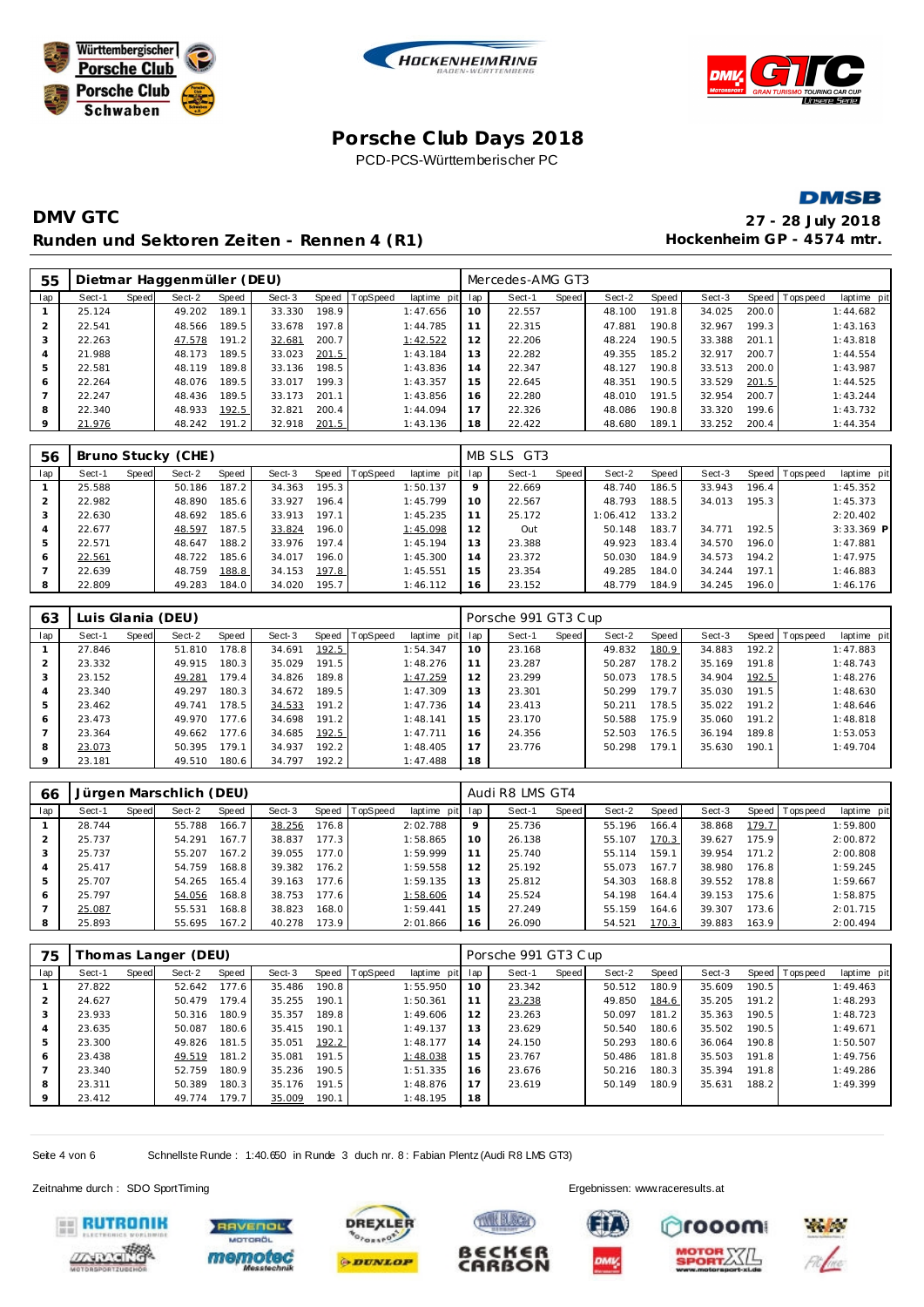







# **DMV GTC 27 - 28 July 2018** Runden und Sektoren Zeiten - Rennen 4 (R1) **Hockenheim GP** - 4574 mtr.

| 55  |        |       | Dietmar Haggenmüller (DEU) |       |        |       |                  |                 |    | Mercedes-AMG GT3 |       |        |       |        |       |                |             |
|-----|--------|-------|----------------------------|-------|--------|-------|------------------|-----------------|----|------------------|-------|--------|-------|--------|-------|----------------|-------------|
| lap | Sect-1 | Speed | Sect-2                     | Speed | Sect-3 |       | Speed   TopSpeed | laptime pit lap |    | Sect-1           | Speed | Sect-2 | Speed | Sect-3 |       | Speed Topspeed | laptime pit |
|     | 25.124 |       | 49.202                     | 189.1 | 33.330 | 198.9 |                  | 1:47.656        | 10 | 22.557           |       | 48.100 | 191.8 | 34.025 | 200.0 |                | 1:44.682    |
|     | 22.541 |       | 48.566                     | 189.5 | 33.678 | 197.8 |                  | 1:44.785        | 11 | 22.315           |       | 47.881 | 190.8 | 32.967 | 199.3 |                | 1:43.163    |
|     | 22.263 |       | 47.578                     | 191.2 | 32.681 | 200.7 |                  | 1:42.522        | 12 | 22.206           |       | 48.224 | 190.5 | 33.388 | 201.1 |                | 1:43.818    |
|     | 21.988 |       | 48.173                     | 189.5 | 33.023 | 201.5 |                  | 1:43.184        | 13 | 22.282           |       | 49.355 | 185.2 | 32.917 | 200.7 |                | 1:44.554    |
| 5   | 22.581 |       | 48.119                     | 189.8 | 33.136 | 198.5 |                  | 1:43.836        | 14 | 22.347           |       | 48.127 | 190.8 | 33.513 | 200.0 |                | 1:43.987    |
| 6   | 22.264 |       | 48.076                     | 189.5 | 33.017 | 199.3 |                  | 1:43.357        | 15 | 22.645           |       | 48.351 | 190.5 | 33.529 | 201.5 |                | 1:44.525    |
|     | 22.247 |       | 48.436                     | 189.5 | 33.173 | 201.1 |                  | 1:43.856        | 16 | 22.280           |       | 48.010 | 191.5 | 32.954 | 200.7 |                | 1:43.244    |
| 8   | 22.340 |       | 48.933                     | 192.5 | 32.821 | 200.4 |                  | 1:44.094        | 17 | 22.326           |       | 48.086 | 190.8 | 33.320 | 199.6 |                | 1:43.732    |
|     | 21.976 |       | 48.242                     | 191.2 | 32.918 | 201.5 |                  | 1:43.136        | 18 | 22.422           |       | 48.680 | 189.1 | 33.252 | 200.4 |                | 1:44.354    |

| 56  |        |       | Bruno Stucky (CHE) |       |        |       |                  |             |         | MB SLS GT3 |       |          |       |        |       |                 |             |
|-----|--------|-------|--------------------|-------|--------|-------|------------------|-------------|---------|------------|-------|----------|-------|--------|-------|-----------------|-------------|
| lap | Sect-1 | Speed | Sect-2             | Speed | Sect-3 |       | Speed   TopSpeed | laptime pit | lap     | Sect-1     | Speed | Sect-2   | Speed | Sect-3 |       | Speed Tops peed | laptime pit |
|     | 25.588 |       | 50.186             | 187.2 | 34.363 | 195.3 |                  | 1:50.137    | $\circ$ | 22.669     |       | 48.740   | 186.5 | 33.943 | 196.4 |                 | 1:45.352    |
|     | 22.982 |       | 48.890             | 185.6 | 33.927 | 196.4 |                  | 1:45.799    | 10      | 22.567     |       | 48.793   | 188.5 | 34.013 | 195.3 |                 | 1:45.373    |
| 3   | 22.630 |       | 48.692             | 185.6 | 33.913 | 197.1 |                  | 1:45.235    | 11      | 25.172     |       | 1:06.412 | 133.2 |        |       |                 | 2:20.402    |
|     | 22.677 |       | 48.597             | 187.5 | 33.824 | 196.0 |                  | 1:45.098    | 12      | Out        |       | 50.148   | 183.7 | 34.771 | 192.5 |                 | 3:33.369 P  |
| 5   | 22.571 |       | 48.647             | 188.2 | 33.976 | 197.4 |                  | 1:45.194    | 13      | 23.388     |       | 49.923   | 183.4 | 34.570 | 196.0 |                 | 1:47.881    |
| 6   | 22.561 |       | 48.722             | 185.6 | 34.017 | 196.0 |                  | 1:45.300    | 14      | 23.372     |       | 50.030   | 184.9 | 34.573 | 194.2 |                 | 1:47.975    |
|     | 22.639 |       | 48.759             | 188.8 | 34.153 | 197.8 |                  | 1:45.551    | 15      | 23.354     |       | 49.285   | 184.0 | 34.244 | 197.1 |                 | 1:46.883    |
| 8   | 22.809 |       | 49.283             | 184.0 | 34.020 | 195.7 |                  | 1:46.112    | 16      | 23.152     |       | 48.779   | 184.9 | 34.245 | 196.0 |                 | 1:46.176    |

| 63      |        |       | Luis Glania (DEU) |       |        |       |                 |                 |    | Porsche 991 GT3 Cup |       |        |       |        |       |                 |             |
|---------|--------|-------|-------------------|-------|--------|-------|-----------------|-----------------|----|---------------------|-------|--------|-------|--------|-------|-----------------|-------------|
| lap     | Sect-1 | Speed | Sect-2            | Speed | Sect-3 | Speed | <b>TopSpeed</b> | laptime pit lap |    | Sect-1              | Speed | Sect-2 | Speed | Sect-3 |       | Speed Tops peed | laptime pit |
|         | 27.846 |       | 51.810            | 178.8 | 34.691 | 192.5 |                 | 1:54.347        | 10 | 23.168              |       | 49.832 | 180.9 | 34.883 | 192.2 |                 | 1:47.883    |
| 2       | 23.332 |       | 49.915            | 180.3 | 35.029 | 191.5 |                 | 1:48.276        |    | 23.287              |       | 50.287 | 178.2 | 35.169 | 191.8 |                 | 1:48.743    |
| 3       | 23.152 |       | 49.281            | 179.4 | 34.826 | 189.8 |                 | 1:47.259        | 12 | 23.299              |       | 50.073 | 178.5 | 34.904 | 192.5 |                 | 1:48.276    |
| 4       | 23.340 |       | 49.297            | 180.3 | 34.672 | 189.5 |                 | 1:47.309        | 13 | 23.301              |       | 50.299 | 179.7 | 35.030 | 191.5 |                 | 1:48.630    |
| 5       | 23.462 |       | 49.741            | 178.5 | 34.533 | 191.2 |                 | 1:47.736        | 14 | 23.413              |       | 50.211 | 178.5 | 35.022 | 191.2 |                 | 1:48.646    |
| 6       | 23.473 |       | 49.970            | 177.6 | 34.698 | 191.2 |                 | 1:48.141        | 15 | 23.170              |       | 50.588 | 175.9 | 35.060 | 191.2 |                 | 1:48.818    |
|         | 23.364 |       | 49.662            | 177.6 | 34.685 | 192.5 |                 | 1:47.711        | 16 | 24.356              |       | 52.503 | 176.5 | 36.194 | 189.8 |                 | 1:53.053    |
| 8       | 23.073 |       | 50.395            | 179.1 | 34.937 | 192.2 |                 | 1:48.405        |    | 23.776              |       | 50.298 | 179.1 | 35.630 | 190.1 |                 | 1:49.704    |
| $\circ$ | 23.181 |       | 49.510            | 180.6 | 34.797 | 192.2 |                 | 1:47.488        | 18 |                     |       |        |       |        |       |                 |             |

| 66  |        |       | Jürgen Marschlich (DEU) |       |        |       |                |             |         | Audi R8 LMS GT4 |       |        |       |        |       |                   |             |
|-----|--------|-------|-------------------------|-------|--------|-------|----------------|-------------|---------|-----------------|-------|--------|-------|--------|-------|-------------------|-------------|
| lap | Sect-1 | Speed | Sect-2                  | Speed | Sect-3 |       | Speed TopSpeed | laptime pit | lap     | Sect-1          | Speed | Sect-2 | Speed | Sect-3 | Speed | <b>T</b> ops peed | laptime pit |
|     | 28.744 |       | 55.788                  | 166.7 | 38.256 | 176.8 |                | 2:02.788    | $\circ$ | 25.736          |       | 55.196 | 166.4 | 38.868 | 179.7 |                   | 1:59.800    |
|     | 25.737 |       | 54.291                  | 167.7 | 38.837 | 177.3 |                | 1:58.865    | 10      | 26.138          |       | 55.107 | 170.3 | 39.627 | 175.9 |                   | 2:00.872    |
| 3   | 25.737 |       | 55.207                  | 167.2 | 39.055 | 177.0 |                | 1:59.999    | 11      | 25.740          |       | 55.114 | 159.1 | 39.954 | 171.2 |                   | 2:00.808    |
| 4   | 25.417 |       | 54.759                  | 168.8 | 39.382 | 176.2 |                | 1:59.558    | 12      | 25.192          |       | 55.073 | 167.7 | 38.980 | 176.8 |                   | 1:59.245    |
| 5   | 25.707 |       | 54.265                  | 165.4 | 39.163 | 177.6 |                | 1:59.135    | 13      | 25.812          |       | 54.303 | 168.8 | 39.552 | 78.8  |                   | 1:59.667    |
| 6   | 25.797 |       | 54.056                  | 168.8 | 38.753 | 177.6 |                | 1:58.606    | 14      | 25.524          |       | 54.198 | 164.4 | 39.153 | 175.6 |                   | 1:58.875    |
|     | 25.087 |       | 55.531                  | 168.8 | 38.823 | 168.0 |                | 1:59.441    | 15      | 27.249          |       | 55.159 | 164.6 | 39.307 | 173.6 |                   | 2:01.715    |
| 8   | 25.893 |       | 55.695                  | 167.2 | 40.278 | 173.9 |                | 2:01.866    | 16      | 26.090          |       | 54.521 | 170.3 | 39.883 | 163.9 |                   | 2:00.494    |

| 75  |        |       | Thomas Langer (DEU) |       |        |       |                |             |     | Porsche 991 GT3 Cup |       |        |       |        |       |                 |             |
|-----|--------|-------|---------------------|-------|--------|-------|----------------|-------------|-----|---------------------|-------|--------|-------|--------|-------|-----------------|-------------|
| lap | Sect-1 | Speed | Sect-2              | Speed | Sect-3 |       | Speed TopSpeed | laptime pit | lap | Sect-1              | Speed | Sect-2 | Speed | Sect-3 |       | Speed Tops peed | laptime pit |
|     | 27.822 |       | 52.642              | 177.6 | 35.486 | 190.8 |                | 1:55.950    | 10  | 23.342              |       | 50.512 | 180.9 | 35.609 | 190.5 |                 | 1:49.463    |
|     | 24.627 |       | 50.479              | 179.4 | 35.255 | 190.1 |                | 1:50.361    | 11  | 23.238              |       | 49.850 | 184.6 | 35.205 | 191.2 |                 | 1:48.293    |
| 3   | 23.933 |       | 50.316              | 180.9 | 35.357 | 189.8 |                | 1:49.606    | 12  | 23.263              |       | 50.097 | 181.2 | 35.363 | 190.5 |                 | 1:48.723    |
| 4   | 23.635 |       | 50.087              | 180.6 | 35.415 | 190.1 |                | 1:49.137    | 13  | 23.629              |       | 50.540 | 180.6 | 35.502 | 190.5 |                 | 1:49.671    |
| 5   | 23.300 |       | 49.826              | 181.5 | 35.051 | 192.2 |                | 1:48.177    | 14  | 24.150              |       | 50.293 | 180.6 | 36.064 | 190.8 |                 | 1:50.507    |
| 6   | 23.438 |       | 49.519              | 181.2 | 35.081 | 191.5 |                | 1:48.038    | 15  | 23.767              |       | 50.486 | 181.8 | 35.503 | 191.8 |                 | 1:49.756    |
|     | 23.340 |       | 52.759              | 180.9 | 35.236 | 190.5 |                | 1:51.335    | 16  | 23.676              |       | 50.216 | 180.3 | 35.394 | 191.8 |                 | 1:49.286    |
| 8   | 23.311 |       | 50.389              | 180.3 | 35.176 | 191.5 |                | 1:48.876    | 17  | 23.619              |       | 50.149 | 180.9 | 35.631 | 188.2 |                 | 1:49.399    |
| 9   | 23.412 |       | 49.774              | 179.7 | 35.009 | 190.1 |                | 1:48.195    | 18  |                     |       |        |       |        |       |                 |             |

Seite 4 von 6 Schnellste Runde : 1:40.650 in Runde 3 duch nr. 8 : Fabian Plentz (Audi R8 LMS GT3)

Zeitnahme durch : SDO SportTiming Ergebnissen: [www.raceresults.a](www.raceresults.at)t









B∈CK∈R



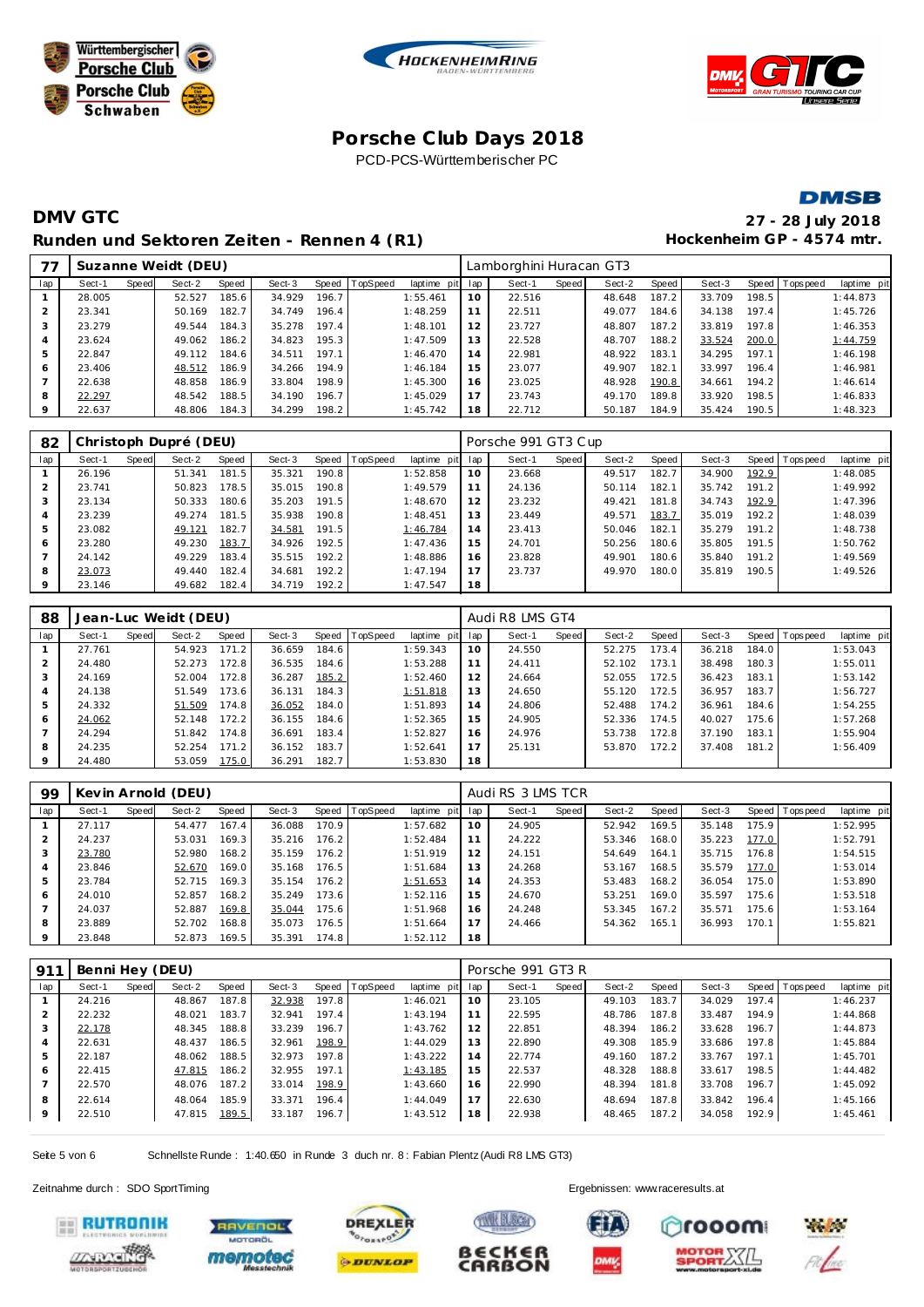







# **DMV GTC 27 - 28 July 2018** Runden und Sektoren Zeiten - Rennen 4 (R1) **Hockenheim GP** - 4574 mtr.

| 77  |        |       | Suzanne Weidt (DEU) |       |        |       |          |          |         | Lamborghini Huracan GT3 |       |        |       |        |       |                |             |
|-----|--------|-------|---------------------|-------|--------|-------|----------|----------|---------|-------------------------|-------|--------|-------|--------|-------|----------------|-------------|
| lap | Sect-1 | Speed | Sect-2              | Speed | Sect-3 | Speed | TopSpeed | laptime  | pit lap | Sect-1                  | Speed | Sect-2 | Speed | Sect-3 |       | Speed Topspeed | laptime pit |
|     | 28.005 |       | 52.527              | 185.6 | 34.929 | 196.7 |          | 1:55.461 | 10      | 22.516                  |       | 48.648 | 187.2 | 33.709 | 198.5 |                | 1:44.873    |
|     | 23.341 |       | 50.169              | 182.7 | 34.749 | 196.4 |          | 1:48.259 | 11      | 22.511                  |       | 49.077 | 184.6 | 34.138 | 197.4 |                | 1:45.726    |
|     | 23.279 |       | 49.544              | 184.3 | 35.278 | 197.4 |          | 1:48.101 | 12      | 23.727                  |       | 48.807 | 187.2 | 33.819 | 197.8 |                | 1:46.353    |
|     | 23.624 |       | 49.062              | 186.2 | 34.823 | 195.3 |          | 1:47.509 | 13      | 22.528                  |       | 48.707 | 188.2 | 33.524 | 200.0 |                | 1:44.759    |
|     | 22.847 |       | 49.112              | 184.6 | 34.511 | 197.1 |          | 1:46.470 | 14      | 22.981                  |       | 48.922 | 183.1 | 34.295 | 197.1 |                | 1:46.198    |
| 6   | 23.406 |       | 48.512              | 186.9 | 34.266 | 194.9 |          | 1:46.184 | 15      | 23.077                  |       | 49.907 | 182.1 | 33.997 | 196.4 |                | 1:46.981    |
|     | 22.638 |       | 48.858              | 186.9 | 33.804 | 198.9 |          | 1:45.300 | 16      | 23.025                  |       | 48.928 | 190.8 | 34.661 | 194.2 |                | 1:46.614    |
| 8   | 22.297 |       | 48.542              | 188.5 | 34.190 | 196.7 |          | 1:45.029 | 17      | 23.743                  |       | 49.170 | 189.8 | 33.920 | 198.5 |                | 1:46.833    |
|     | 22.637 |       | 48.806              | 184.3 | 34.299 | 198.2 |          | 1:45.742 | 18      | 22.712                  |       | 50.187 | 184.9 | 35.424 | 190.5 |                | 1:48.323    |
|     |        |       |                     |       |        |       |          |          |         |                         |       |        |       |        |       |                |             |

| 82             |        |       | Christoph Dupré (DEU) |       |        |       |                |             |     | Porsche 991 GT3 Cup |       |        |       |        |       |                 |             |
|----------------|--------|-------|-----------------------|-------|--------|-------|----------------|-------------|-----|---------------------|-------|--------|-------|--------|-------|-----------------|-------------|
| lap            | Sect-1 | Speed | Sect-2                | Speed | Sect-3 |       | Speed TopSpeed | laptime pit | lap | Sect-1              | Speed | Sect-2 | Speed | Sect-3 |       | Speed Tops peed | laptime pit |
|                | 26.196 |       | 51.341                | 181.5 | 35.321 | 190.8 |                | 1:52.858    | 10  | 23.668              |       | 49.517 | 182.7 | 34.900 | 192.9 |                 | 1:48.085    |
| $\overline{2}$ | 23.741 |       | 50.823                | 178.5 | 35.015 | 190.8 |                | 1:49.579    | 11  | 24.136              |       | 50.114 | 182.1 | 35.742 | 191.2 |                 | 1:49.992    |
|                | 23.134 |       | 50.333                | 180.6 | 35.203 | 191.5 |                | 1:48.670    | 12  | 23.232              |       | 49.421 | 181.8 | 34.743 | 192.9 |                 | 1:47.396    |
| 4              | 23.239 |       | 49.274                | 181.5 | 35.938 | 190.8 |                | 1:48.451    | 13  | 23.449              |       | 49.571 | 183.7 | 35.019 | 192.2 |                 | 1:48.039    |
| 5              | 23.082 |       | 49.121                | 182.7 | 34.581 | 191.5 |                | 1:46.784    | 14  | 23.413              |       | 50.046 | 182.1 | 35.279 | 191.2 |                 | 1:48.738    |
| 6              | 23.280 |       | 49.230                | 183.7 | 34.926 | 192.5 |                | 1:47.436    | 15  | 24.701              |       | 50.256 | 180.6 | 35.805 | 191.5 |                 | 1:50.762    |
|                | 24.142 |       | 49.229                | 183.4 | 35.515 | 192.2 |                | 1:48.886    | 16  | 23.828              |       | 49.901 | 180.6 | 35.840 | 191.2 |                 | 1:49.569    |
| 8              | 23.073 |       | 49.440                | 182.4 | 34.681 | 192.2 |                | 1:47.194    | 17  | 23.737              |       | 49.970 | 180.0 | 35.819 | 190.5 |                 | 1:49.526    |
| 9              | 23.146 |       | 49.682                | 182.4 | 34.719 | 192.2 |                | 1:47.547    | 18  |                     |       |        |       |        |       |                 |             |

| 88      |        |       | Jean-Luc Weidt (DEU) |       |        |       |          |                 |    | Audi R8 LMS GT4 |       |        |         |        |       |                |             |
|---------|--------|-------|----------------------|-------|--------|-------|----------|-----------------|----|-----------------|-------|--------|---------|--------|-------|----------------|-------------|
| lap     | Sect-1 | Speed | Sect-2               | Speed | Sect-3 | Speed | TopSpeed | laptime pit lap |    | Sect-1          | Speed | Sect-2 | Speed ! | Sect-3 |       | Speed Topspeed | laptime pit |
|         | 27.761 |       | 54.923               | 171.2 | 36.659 | 184.6 |          | 1:59.343        | 10 | 24.550          |       | 52.275 | 173.4   | 36.218 | 184.0 |                | 1:53.043    |
|         | 24.480 |       | 52.273               | 172.8 | 36.535 | 184.6 |          | 1:53.288        | 11 | 24.411          |       | 52.102 | 173.1   | 38.498 | 180.3 |                | 1:55.011    |
| 3       | 24.169 |       | 52.004               | 172.8 | 36.287 | 185.2 |          | 1:52.460        | 12 | 24.664          |       | 52.055 | 172.5   | 36.423 | 183.1 |                | 1:53.142    |
| 4       | 24.138 |       | 51.549               | 173.6 | 36.131 | 184.3 |          | 1:51.818        | 13 | 24.650          |       | 55.120 | 172.5   | 36.957 | 183.7 |                | 1:56.727    |
| 5       | 24.332 |       | 51.509               | 174.8 | 36.052 | 184.0 |          | 1:51.893        | 14 | 24.806          |       | 52.488 | 174.2   | 36.961 | 184.6 |                | 1:54.255    |
| 6       | 24.062 |       | 52.148               | 172.2 | 36.155 | 184.6 |          | 1:52.365        | 15 | 24.905          |       | 52.336 | 174.5   | 40.027 | 175.6 |                | 1:57.268    |
|         | 24.294 |       | 51.842               | 174.8 | 36.691 | 183.4 |          | 1:52.827        | 16 | 24.976          |       | 53.738 | 172.8   | 37.190 | 183.1 |                | 1:55.904    |
| 8       | 24.235 |       | 52.254               | 171.2 | 36.152 | 183.7 |          | 1:52.641        | 17 | 25.131          |       | 53.870 | 172.2   | 37.408 | 181.2 |                | 1:56.409    |
| $\circ$ | 24.480 |       | 53.059               | 175.0 | 36.291 | 182.7 |          | 1:53.830        | 18 |                 |       |        |         |        |       |                |             |

| 99             |        |       | Kevin Arnold (DEU) |       |        |       |                |             |     | Audi RS 3 LMS TCR |       |        |       |        |       |                |             |
|----------------|--------|-------|--------------------|-------|--------|-------|----------------|-------------|-----|-------------------|-------|--------|-------|--------|-------|----------------|-------------|
| lap            | Sect-1 | Speed | Sect-2             | Speed | Sect-3 |       | Speed TopSpeed | laptime pit | lap | Sect-1            | Speed | Sect-2 | Speed | Sect-3 |       | Speed Topspeed | laptime pit |
|                | 27.117 |       | 54.477             | 167.4 | 36.088 | 170.9 |                | 1:57.682    | 10  | 24.905            |       | 52.942 | 169.5 | 35.148 | 175.9 |                | 1:52.995    |
| $\overline{2}$ | 24.237 |       | 53.031             | 169.3 | 35.216 | 176.2 |                | 1:52.484    | 11  | 24.222            |       | 53.346 | 168.0 | 35.223 | 177.0 |                | 1:52.791    |
| 3              | 23.780 |       | 52.980             | 168.2 | 35.159 | 176.2 |                | 1:51.919    | 12  | 24.151            |       | 54.649 | 164.1 | 35.715 | 176.8 |                | 1:54.515    |
| 4              | 23.846 |       | 52.670             | 169.0 | 35.168 | 176.5 |                | 1:51.684    | 13  | 24.268            |       | 53.167 | 168.5 | 35.579 | 177.0 |                | 1:53.014    |
| 5              | 23.784 |       | 52.715             | 169.3 | 35.154 | 176.2 |                | 1:51.653    | 14  | 24.353            |       | 53.483 | 168.2 | 36.054 | 175.0 |                | 1:53.890    |
| 6              | 24.010 |       | 52.857             | 168.2 | 35.249 | 173.6 |                | 1:52.116    | 15  | 24.670            |       | 53.251 | 169.0 | 35.597 | 175.6 |                | 1:53.518    |
|                | 24.037 |       | 52.887             | 169.8 | 35.044 | 175.6 |                | 1:51.968    | 16  | 24.248            |       | 53.345 | 167.2 | 35.571 | 175.6 |                | 1:53.164    |
| 8              | 23.889 |       | 52.702             | 168.8 | 35.073 | 176.5 |                | 1:51.664    | 17  | 24.466            |       | 54.362 | 165.1 | 36.993 | 170.1 |                | 1:55.821    |
| 9              | 23.848 |       | 52.873             | 169.5 | 35.391 | 174.8 |                | 1:52.112    | 18  |                   |       |        |       |        |       |                |             |

| 91 <sup>7</sup> | Benni Hey (DEU) |       |        |       |        |       |                |             | Porsche 991 GT3 R |        |       |        |       |        |       |                |             |
|-----------------|-----------------|-------|--------|-------|--------|-------|----------------|-------------|-------------------|--------|-------|--------|-------|--------|-------|----------------|-------------|
| lap             | Sect-1          | Speed | Sect-2 | Speed | Sect-3 |       | Speed TopSpeed | laptime pit | lap               | Sect-1 | Speed | Sect-2 | Speed | Sect-3 |       | Speed Topspeed | laptime pit |
|                 | 24.216          |       | 48.867 | 187.8 | 32.938 | 197.8 |                | 1:46.021    | 10                | 23.105 |       | 49.103 | 183.7 | 34.029 | 197.4 |                | 1:46.237    |
|                 | 22.232          |       | 48.021 | 183.7 | 32.941 | 197.4 |                | 1:43.194    | 11                | 22.595 |       | 48.786 | 187.8 | 33.487 | 194.9 |                | 1:44.868    |
| 3               | 22.178          |       | 48.345 | 188.8 | 33.239 | 196.7 |                | 1:43.762    | 12                | 22.851 |       | 48.394 | 186.2 | 33.628 | 196.7 |                | 1:44.873    |
| $\overline{4}$  | 22.631          |       | 48.437 | 186.5 | 32.961 | 198.9 |                | 1:44.029    | 13                | 22.890 |       | 49.308 | 185.9 | 33.686 | 197.8 |                | 1:45.884    |
| .5              | 22.187          |       | 48.062 | 188.5 | 32.973 | 197.8 |                | 1:43.222    | 14                | 22.774 |       | 49.160 | 187.2 | 33.767 | 197.1 |                | 1:45.701    |
| 6               | 22.415          |       | 47.815 | 186.2 | 32.955 | 197.1 |                | 1:43.185    | 15                | 22.537 |       | 48.328 | 188.8 | 33.617 | 198.5 |                | 1:44.482    |
|                 | 22.570          |       | 48.076 | 187.2 | 33.014 | 198.9 |                | 1:43.660    | 16                | 22.990 |       | 48.394 | 181.8 | 33.708 | 196.7 |                | 1:45.092    |
| 8               | 22.614          |       | 48.064 | 185.9 | 33.371 | 196.4 |                | 1:44.049    | 17                | 22.630 |       | 48.694 | 187.8 | 33.842 | 196.4 |                | 1:45.166    |
| 9               | 22.510          |       | 47.815 | 189.5 | 33.187 | 196.7 |                | 1:43.512    | 18                | 22.938 |       | 48.465 | 187.2 | 34.058 | 192.9 |                | 1:45.461    |

Seite 5 von 6 Schnellste Runde : 1:40.650 in Runde 3 duch nr. 8 : Fabian Plentz (Audi R8 LMS GT3)

Zeitnahme durch : SDO SportTiming Ergebnissen: [www.raceresults.a](www.raceresults.at)t